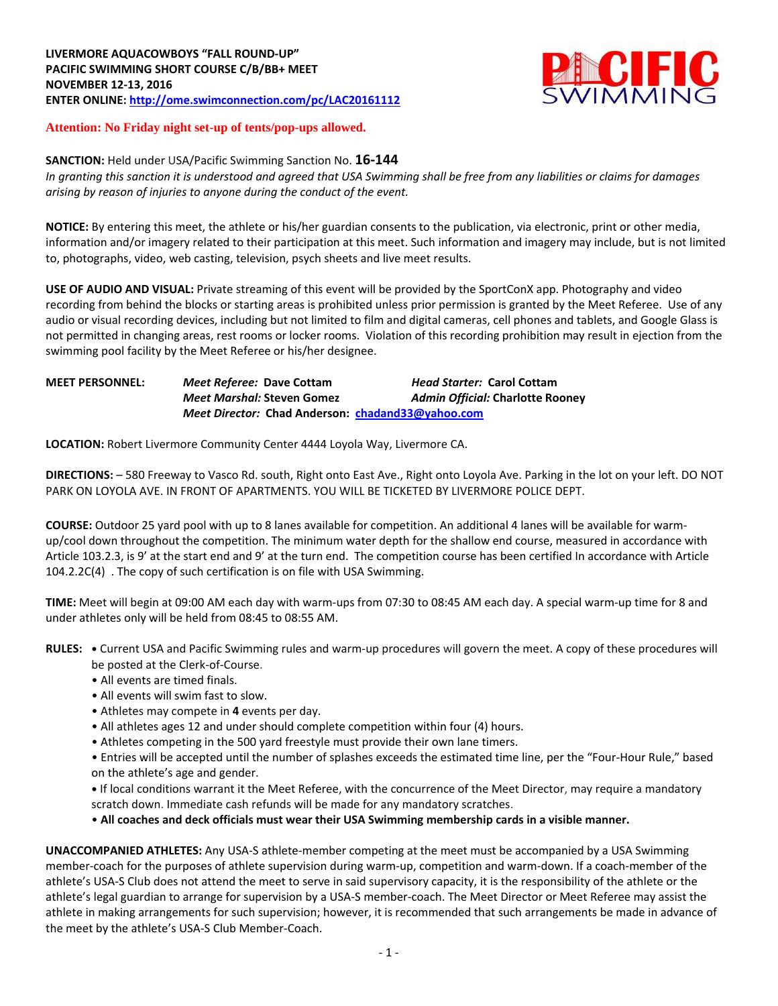

## **Attention: No Friday night set-up of tents/pop-ups allowed.**

## **SANCTION:** Held under USA/Pacific Swimming Sanction No. **16-144**

*In granting this sanction it is understood and agreed that USA Swimming shall be free from any liabilities or claims for damages arising by reason of injuries to anyone during the conduct of the event.*

**NOTICE:** By entering this meet, the athlete or his/her guardian consents to the publication, via electronic, print or other media, information and/or imagery related to their participation at this meet. Such information and imagery may include, but is not limited to, photographs, video, web casting, television, psych sheets and live meet results.

**USE OF AUDIO AND VISUAL:** Private streaming of this event will be provided by the SportConX app. Photography and video recording from behind the blocks or starting areas is prohibited unless prior permission is granted by the Meet Referee. Use of any audio or visual recording devices, including but not limited to film and digital cameras, cell phones and tablets, and Google Glass is not permitted in changing areas, rest rooms or locker rooms. Violation of this recording prohibition may result in ejection from the swimming pool facility by the Meet Referee or his/her designee.

### **MEET PERSONNEL:** *Meet Referee:* **Dave Cottam** *Head Starter:* **Carol Cottam** *Meet Marshal:* **Steven Gomez** *Admin Official:* **Charlotte Rooney** *Meet Director:* **Chad Anderson: [chadand33@yahoo.com](mailto:chadand33@yahoo.com)**

**LOCATION:** Robert Livermore Community Center 4444 Loyola Way, Livermore CA.

**DIRECTIONS:** – 580 Freeway to Vasco Rd. south, Right onto East Ave., Right onto Loyola Ave. Parking in the lot on your left. DO NOT PARK ON LOYOLA AVE. IN FRONT OF APARTMENTS. YOU WILL BE TICKETED BY LIVERMORE POLICE DEPT.

**COURSE:** Outdoor 25 yard pool with up to 8 lanes available for competition. An additional 4 lanes will be available for warmup/cool down throughout the competition. The minimum water depth for the shallow end course, measured in accordance with Article 103.2.3, is 9' at the start end and 9' at the turn end. The competition course has been certified In accordance with Article 104.2.2C(4) . The copy of such certification is on file with USA Swimming.

**TIME:** Meet will begin at 09:00 AM each day with warm-ups from 07:30 to 08:45 AM each day. A special warm-up time for 8 and under athletes only will be held from 08:45 to 08:55 AM.

- **RULES: •** Current USA and Pacific Swimming rules and warm-up procedures will govern the meet. A copy of these procedures will be posted at the Clerk-of-Course.
	- All events are timed finals.
	- All events will swim fast to slow.
	- Athletes may compete in **4** events per day.
	- All athletes ages 12 and under should complete competition within four (4) hours.
	- Athletes competing in the 500 yard freestyle must provide their own lane timers.
	- Entries will be accepted until the number of splashes exceeds the estimated time line, per the "Four-Hour Rule," based on the athlete's age and gender.

**•** If local conditions warrant it the Meet Referee, with the concurrence of the Meet Director, may require a mandatory scratch down. Immediate cash refunds will be made for any mandatory scratches.

• **All coaches and deck officials must wear their USA Swimming membership cards in a visible manner.** 

**UNACCOMPANIED ATHLETES:** Any USA-S athlete-member competing at the meet must be accompanied by a USA Swimming member-coach for the purposes of athlete supervision during warm-up, competition and warm-down. If a coach-member of the athlete's USA-S Club does not attend the meet to serve in said supervisory capacity, it is the responsibility of the athlete or the athlete's legal guardian to arrange for supervision by a USA-S member-coach. The Meet Director or Meet Referee may assist the athlete in making arrangements for such supervision; however, it is recommended that such arrangements be made in advance of the meet by the athlete's USA-S Club Member-Coach.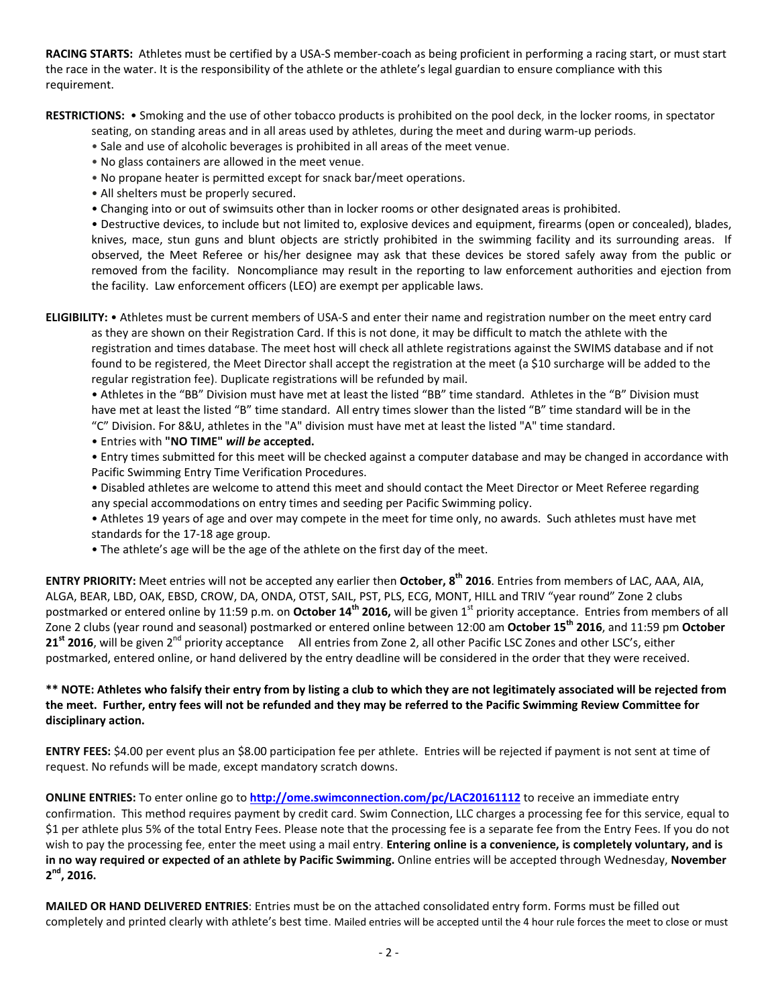**RACING STARTS:** Athletes must be certified by a USA-S member-coach as being proficient in performing a racing start, or must start the race in the water. It is the responsibility of the athlete or the athlete's legal guardian to ensure compliance with this requirement.

**RESTRICTIONS:** • Smoking and the use of other tobacco products is prohibited on the pool deck, in the locker rooms, in spectator

seating, on standing areas and in all areas used by athletes, during the meet and during warm-up periods.

- Sale and use of alcoholic beverages is prohibited in all areas of the meet venue.
- No glass containers are allowed in the meet venue.
- No propane heater is permitted except for snack bar/meet operations.
- All shelters must be properly secured.
- Changing into or out of swimsuits other than in locker rooms or other designated areas is prohibited.

• Destructive devices, to include but not limited to, explosive devices and equipment, firearms (open or concealed), blades, knives, mace, stun guns and blunt objects are strictly prohibited in the swimming facility and its surrounding areas. If observed, the Meet Referee or his/her designee may ask that these devices be stored safely away from the public or removed from the facility. Noncompliance may result in the reporting to law enforcement authorities and ejection from the facility. Law enforcement officers (LEO) are exempt per applicable laws.

**ELIGIBILITY:** • Athletes must be current members of USA-S and enter their name and registration number on the meet entry card as they are shown on their Registration Card. If this is not done, it may be difficult to match the athlete with the registration and times database. The meet host will check all athlete registrations against the SWIMS database and if not found to be registered, the Meet Director shall accept the registration at the meet (a \$10 surcharge will be added to the regular registration fee). Duplicate registrations will be refunded by mail.

• Athletes in the "BB" Division must have met at least the listed "BB" time standard. Athletes in the "B" Division must have met at least the listed "B" time standard. All entry times slower than the listed "B" time standard will be in the "C" Division. For 8&U, athletes in the "A" division must have met at least the listed "A" time standard.

• Entries with **"NO TIME"** *will be* **accepted.**

• Entry times submitted for this meet will be checked against a computer database and may be changed in accordance with Pacific Swimming Entry Time Verification Procedures.

• Disabled athletes are welcome to attend this meet and should contact the Meet Director or Meet Referee regarding any special accommodations on entry times and seeding per Pacific Swimming policy.

• Athletes 19 years of age and over may compete in the meet for time only, no awards. Such athletes must have met standards for the 17-18 age group.

• The athlete's age will be the age of the athlete on the first day of the meet.

**ENTRY PRIORITY:** Meet entries will not be accepted any earlier then **October, 8 th 2016**. Entries from members of LAC, AAA, AIA, ALGA, BEAR, LBD, OAK, EBSD, CROW, DA, ONDA, OTST, SAIL, PST, PLS, ECG, MONT, HILL and TRIV "year round" Zone 2 clubs postmarked or entered online by 11:59 p.m. on **October 14<sup>th</sup> 2016,** will be given 1<sup>st</sup> priority acceptance. Entries from members of all Zone 2 clubs (year round and seasonal) postmarked or entered online between 12:00 am **October 15 th 2016**, and 11:59 pm **October**  21<sup>st</sup> 2016, will be given 2<sup>nd</sup> priority acceptance All entries from Zone 2, all other Pacific LSC Zones and other LSC's, either postmarked, entered online, or hand delivered by the entry deadline will be considered in the order that they were received.

# **\*\* NOTE: Athletes who falsify their entry from by listing a club to which they are not legitimately associated will be rejected from the meet. Further, entry fees will not be refunded and they may be referred to the Pacific Swimming Review Committee for disciplinary action.**

**ENTRY FEES:** \$4.00 per event plus an \$8.00 participation fee per athlete. Entries will be rejected if payment is not sent at time of request. No refunds will be made, except mandatory scratch downs.

**ONLINE ENTRIES:** To enter online go to **<http://ome.swimconnection.com/pc/LAC20161112>** to receive an immediate entry confirmation. This method requires payment by credit card. Swim Connection, LLC charges a processing fee for this service, equal to \$1 per athlete plus 5% of the total Entry Fees. Please note that the processing fee is a separate fee from the Entry Fees. If you do not wish to pay the processing fee, enter the meet using a mail entry. **Entering online is a convenience, is completely voluntary, and is in no way required or expected of an athlete by Pacific Swimming.** Online entries will be accepted through Wednesday, **November 2 nd , 2016.**

**MAILED OR HAND DELIVERED ENTRIES**: Entries must be on the attached consolidated entry form. Forms must be filled out completely and printed clearly with athlete's best time. Mailed entries will be accepted until the 4 hour rule forces the meet to close or must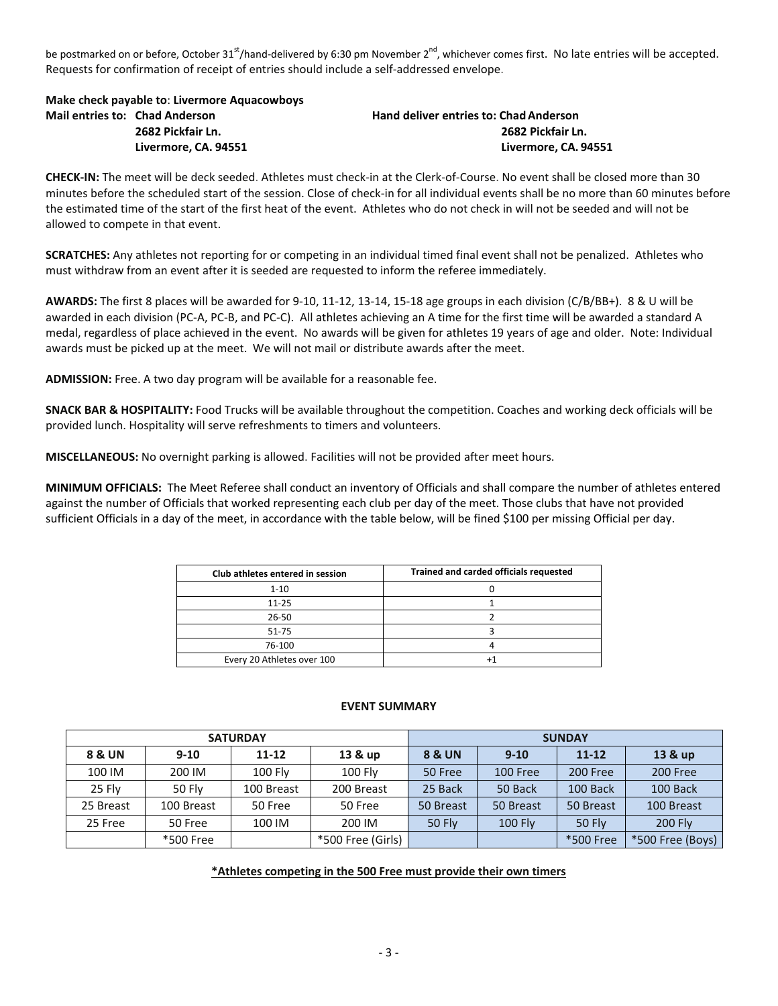be postmarked on or before, October 31<sup>st</sup>/hand-delivered by 6:30 pm November 2<sup>nd</sup>, whichever comes first. No late entries will be accepted. Requests for confirmation of receipt of entries should include a self-addressed envelope.

**Make check payable to**: **Livermore Aquacowboys Mail entries to: Chad Anderson Hand deliver entries to: ChadAnderson**

**2682 Pickfair Ln. 2682 Pickfair Ln. Livermore, CA. 94551 Livermore, CA. 94551**

**CHECK-IN:** The meet will be deck seeded. Athletes must check-in at the Clerk-of-Course. No event shall be closed more than 30 minutes before the scheduled start of the session. Close of check-in for all individual events shall be no more than 60 minutes before the estimated time of the start of the first heat of the event. Athletes who do not check in will not be seeded and will not be allowed to compete in that event.

**SCRATCHES:** Any athletes not reporting for or competing in an individual timed final event shall not be penalized. Athletes who must withdraw from an event after it is seeded are requested to inform the referee immediately.

**AWARDS:** The first 8 places will be awarded for 9-10, 11-12, 13-14, 15-18 age groups in each division (C/B/BB+). 8 & U will be awarded in each division (PC-A, PC-B, and PC-C). All athletes achieving an A time for the first time will be awarded a standard A medal, regardless of place achieved in the event. No awards will be given for athletes 19 years of age and older. Note: Individual awards must be picked up at the meet. We will not mail or distribute awards after the meet.

**ADMISSION:** Free. A two day program will be available for a reasonable fee.

**SNACK BAR & HOSPITALITY:** Food Trucks will be available throughout the competition. Coaches and working deck officials will be provided lunch. Hospitality will serve refreshments to timers and volunteers.

**MISCELLANEOUS:** No overnight parking is allowed. Facilities will not be provided after meet hours.

**MINIMUM OFFICIALS:** The Meet Referee shall conduct an inventory of Officials and shall compare the number of athletes entered against the number of Officials that worked representing each club per day of the meet. Those clubs that have not provided sufficient Officials in a day of the meet, in accordance with the table below, will be fined \$100 per missing Official per day.

| Club athletes entered in session | Trained and carded officials requested |
|----------------------------------|----------------------------------------|
| $1 - 10$                         |                                        |
| $11 - 25$                        |                                        |
| 26-50                            |                                        |
| $51 - 75$                        |                                        |
| 76-100                           |                                        |
| Every 20 Athletes over 100       |                                        |

## **EVENT SUMMARY**

|           |               | <b>SATURDAY</b> |                   | <b>SUNDAY</b>     |                |               |                  |  |  |
|-----------|---------------|-----------------|-------------------|-------------------|----------------|---------------|------------------|--|--|
| 8 & UN    | $9 - 10$      | $11 - 12$       | 13 & up           | <b>8 &amp; UN</b> | $9-10$         | $11 - 12$     | 13 & up          |  |  |
| 100 IM    | 200 IM        | <b>100 Flv</b>  | <b>100 Flv</b>    | 50 Free           | 100 Free       | 200 Free      | 200 Free         |  |  |
| 25 Flv    | <b>50 Flv</b> | 100 Breast      | 200 Breast        | 25 Back           | 50 Back        | 100 Back      | 100 Back         |  |  |
| 25 Breast | 100 Breast    | 50 Free         | 50 Free           | 50 Breast         | 50 Breast      | 50 Breast     | 100 Breast       |  |  |
| 25 Free   | 50 Free       | 100 IM          | 200 IM            | <b>50 Fly</b>     | <b>100 Fly</b> | <b>50 Fly</b> | <b>200 Fly</b>   |  |  |
|           | *500 Free     |                 | *500 Free (Girls) |                   |                | *500 Free     | *500 Free (Boys) |  |  |

## **\*Athletes competing in the 500 Free must provide their own timers**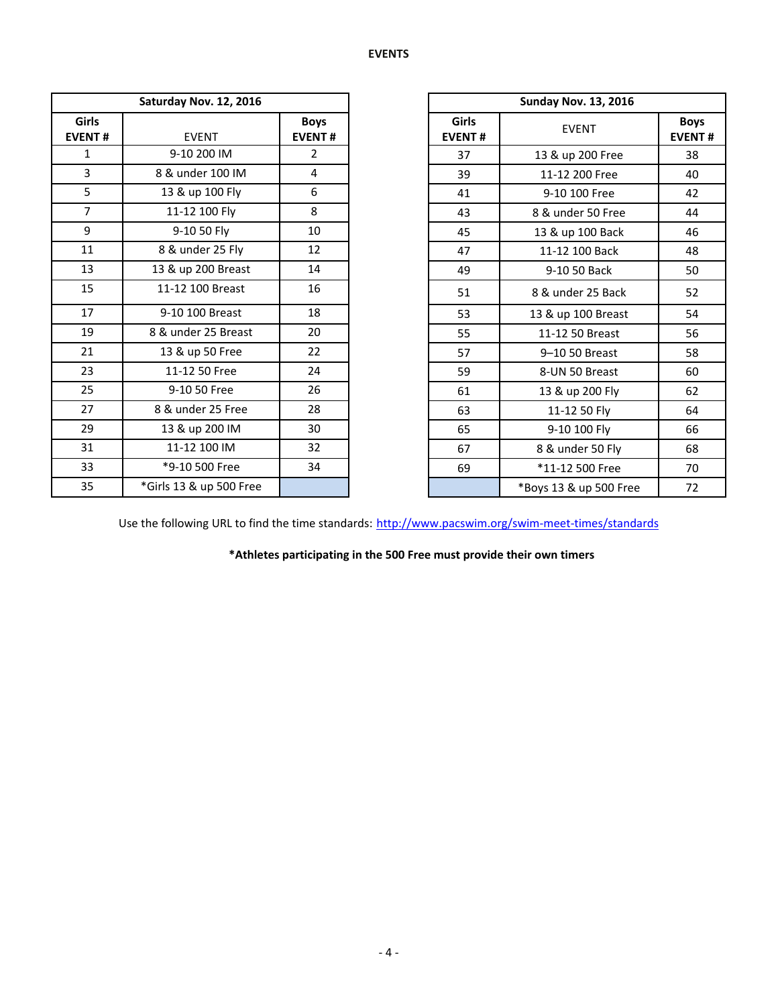|                               | Saturday Nov. 12, 2016  |                              |                        | <b>Sunday Nov. 13, 2016</b> |
|-------------------------------|-------------------------|------------------------------|------------------------|-----------------------------|
| <b>Girls</b><br><b>EVENT#</b> | <b>EVENT</b>            | <b>Boys</b><br><b>EVENT#</b> | Girls<br><b>EVENT#</b> | <b>EVENT</b>                |
| $\mathbf{1}$                  | 9-10 200 IM             | $\overline{2}$               | 37                     | 13 & up 200 Free            |
| $\overline{3}$                | 8 & under 100 IM        | 4                            | 39                     | 11-12 200 Free              |
| 5                             | 13 & up 100 Fly         | 6                            | 41                     | 9-10 100 Free               |
| $\overline{7}$                | 11-12 100 Fly           | 8                            | 43                     | 8 & under 50 Free           |
| 9                             | 9-10 50 Fly             | 10                           | 45                     | 13 & up 100 Back            |
| 11                            | 8 & under 25 Fly        | 12                           | 47                     | 11-12 100 Back              |
| 13                            | 13 & up 200 Breast      | 14                           | 49                     | 9-10 50 Back                |
| 15                            | 11-12 100 Breast        | 16                           | 51                     | 8 & under 25 Back           |
| 17                            | 9-10 100 Breast         | 18                           | 53                     | 13 & up 100 Breast          |
| 19                            | 8 & under 25 Breast     | 20                           | 55                     | 11-12 50 Breast             |
| 21                            | 13 & up 50 Free         | 22                           | 57                     | 9-10 50 Breast              |
| 23                            | 11-12 50 Free           | 24                           | 59                     | 8-UN 50 Breast              |
| 25                            | 9-10 50 Free            | 26                           | 61                     | 13 & up 200 Fly             |
| 27                            | 8 & under 25 Free       | 28                           | 63                     | 11-12 50 Fly                |
| 29                            | 13 & up 200 IM          | 30                           | 65                     | 9-10 100 Fly                |
| 31                            | 11-12 100 IM            | 32                           | 67                     | 8 & under 50 Fly            |
| 33                            | *9-10 500 Free          | 34                           | 69                     | *11-12 500 Free             |
| 35                            | *Girls 13 & up 500 Free |                              |                        | *Boys 13 & up 500 Fre       |

|                | Saturday Nov. 12, 2016  |                              |                        | <b>Sunday Nov. 13, 2016</b> |                              |  |  |
|----------------|-------------------------|------------------------------|------------------------|-----------------------------|------------------------------|--|--|
| iirls<br>ENT#  | <b>EVENT</b>            | <b>Boys</b><br><b>EVENT#</b> | Girls<br><b>EVENT#</b> | <b>EVENT</b>                | <b>Boys</b><br><b>EVENT#</b> |  |  |
| $\mathbf{1}$   | 9-10 200 IM             | $\overline{2}$               | 37                     | 13 & up 200 Free            | 38                           |  |  |
| $\overline{3}$ | 8 & under 100 IM        | 4                            | 39                     | 11-12 200 Free              | 40                           |  |  |
| $\overline{5}$ | 13 & up 100 Fly         | 6                            | 41                     | 9-10 100 Free               | 42                           |  |  |
| $\overline{7}$ | 11-12 100 Fly           | 8                            | 43                     | 8 & under 50 Free           | 44                           |  |  |
| $\overline{9}$ | 9-10 50 Fly             | 10                           | 45                     | 13 & up 100 Back            | 46                           |  |  |
| 11             | 8 & under 25 Fly        | 12                           | 47                     | 11-12 100 Back              | 48                           |  |  |
| 13             | 13 & up 200 Breast      | 14                           | 49                     | 9-10 50 Back                | 50                           |  |  |
| 15             | 11-12 100 Breast        | 16                           | 51                     | 8 & under 25 Back           | 52                           |  |  |
| 17             | 9-10 100 Breast         | 18                           | 53                     | 13 & up 100 Breast          | 54                           |  |  |
| 19             | 8 & under 25 Breast     | 20                           | 55                     | 11-12 50 Breast             | 56                           |  |  |
| 21             | 13 & up 50 Free         | 22                           | 57                     | 9-10 50 Breast              | 58                           |  |  |
| 23             | 11-12 50 Free           | 24                           | 59                     | 8-UN 50 Breast              | 60                           |  |  |
| 25             | 9-10 50 Free            | 26                           | 61                     | 13 & up 200 Fly             | 62                           |  |  |
| 27             | 8 & under 25 Free       | 28                           | 63                     | 11-12 50 Fly                | 64                           |  |  |
| 29             | 13 & up 200 IM          | 30                           | 65                     | 9-10 100 Fly                | 66                           |  |  |
| 31             | 11-12 100 IM            | 32                           | 67                     | 8 & under 50 Fly            | 68                           |  |  |
| 33             | *9-10 500 Free          | 34                           | 69                     | *11-12 500 Free             | 70                           |  |  |
| 35             | *Girls 13 & up 500 Free |                              |                        | *Boys 13 & up 500 Free      | 72                           |  |  |

Use the following URL to find the time standards: <http://www.pacswim.org/swim-meet-times/standards>

**\*Athletes participating in the 500 Free must provide their own timers**